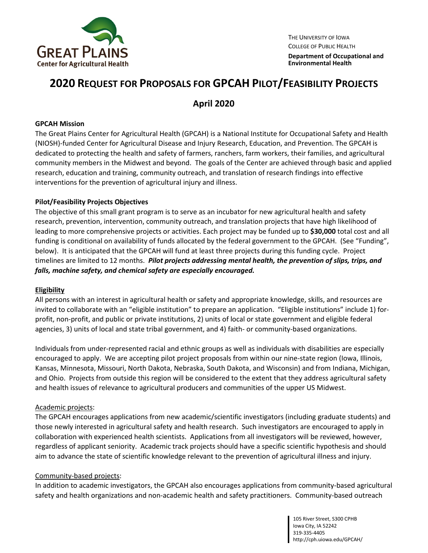

THE UNIVERSITY OF IOWA COLLEGE OF PUBLIC HEALTH

**Department of Occupational and Environmental Health**

# **2020 REQUEST FOR PROPOSALS FOR GPCAH PILOT/FEASIBILITY PROJECTS**

## **April 2020**

## **GPCAH Mission**

The Great Plains Center for Agricultural Health (GPCAH) is a National Institute for Occupational Safety and Health (NIOSH)-funded Center for Agricultural Disease and Injury Research, Education, and Prevention. The GPCAH is dedicated to protecting the health and safety of farmers, ranchers, farm workers, their families, and agricultural community members in the Midwest and beyond. The goals of the Center are achieved through basic and applied research, education and training, community outreach, and translation of research findings into effective interventions for the prevention of agricultural injury and illness.

## **Pilot/Feasibility Projects Objectives**

The objective of this small grant program is to serve as an incubator for new agricultural health and safety research, prevention, intervention, community outreach, and translation projects that have high likelihood of leading to more comprehensive projects or activities. Each project may be funded up to **\$30,000** total cost and all funding is conditional on availability of funds allocated by the federal government to the GPCAH. (See "Funding", below). It is anticipated that the GPCAH will fund at least three projects during this funding cycle. Project timelines are limited to 12 months. *Pilot projects addressing mental health, the prevention of slips, trips, and falls, machine safety, and chemical safety are especially encouraged.*

## **Eligibility**

All persons with an interest in agricultural health or safety and appropriate knowledge, skills, and resources are invited to collaborate with an "eligible institution" to prepare an application. "Eligible institutions" include 1) forprofit, non-profit, and public or private institutions, 2) units of local or state government and eligible federal agencies, 3) units of local and state tribal government, and 4) faith- or community-based organizations.

Individuals from under-represented racial and ethnic groups as well as individuals with disabilities are especially encouraged to apply. We are accepting pilot project proposals from within our nine-state region (Iowa, Illinois, Kansas, Minnesota, Missouri, North Dakota, Nebraska, South Dakota, and Wisconsin) and from Indiana, Michigan, and Ohio. Projects from outside this region will be considered to the extent that they address agricultural safety and health issues of relevance to agricultural producers and communities of the upper US Midwest.

## Academic projects:

The GPCAH encourages applications from new academic/scientific investigators (including graduate students) and those newly interested in agricultural safety and health research. Such investigators are encouraged to apply in collaboration with experienced health scientists. Applications from all investigators will be reviewed, however, regardless of applicant seniority. Academic track projects should have a specific scientific hypothesis and should aim to advance the state of scientific knowledge relevant to the prevention of agricultural illness and injury.

## Community-based projects:

In addition to academic investigators, the GPCAH also encourages applications from community-based agricultural safety and health organizations and non-academic health and safety practitioners. Community-based outreach

> 105 River Street, S300 CPHB Iowa City, IA 52242 319-335-4405 http://cph.uiowa.edu/GPCAH/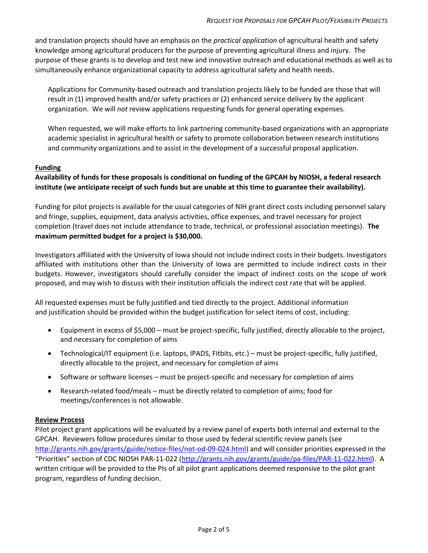and translation projects should have an emphasis on the *practical application* of agricultural health and safety knowledge among agricultural producers for the purpose of preventing agricultural illness and injury. The purpose of these grants is to develop and test new and innovative outreach and educational methods as well as to simultaneously enhance organizational capacity to address agricultural safety and health needs.

Applications for Community-based outreach and translation projects likely to be funded are those that will result in (1) improved health and/or safety practices or (2) enhanced service delivery by the applicant organization. We will *not* review applications requesting funds for general operating expenses.

When requested, we will make efforts to link partnering community-based organizations with an appropriate academic specialist in agricultural health or safety to promote collaboration between research institutions and community organizations and to assist in the development of a successful proposal application.

## **Funding**

## **Availability of funds for these proposals is conditional on funding of the GPCAH by NIOSH, a federal research institute (we anticipate receipt of such funds but are unable at this time to guarantee their availability).**

Funding for pilot projects is available for the usual categories of NIH grant direct costs including personnel salary and fringe, supplies, equipment, data analysis activities, office expenses, and travel necessary for project completion (travel does not include attendance to trade, technical, or professional association meetings). **The maximum permitted budget for a project is \$30,000.** 

Investigators affiliated with the University of Iowa should not include indirect costs in their budgets. Investigators affiliated with institutions other than the University of Iowa are permitted to include indirect costs in their budgets. However, investigators should carefully consider the impact of indirect costs on the scope of work proposed, and may wish to discuss with their institution officials the indirect cost rate that will be applied.

All requested expenses must be fully justified and tied directly to the project. Additional information and justification should be provided within the budget justification for select items of cost, including:

- Equipment in excess of \$5,000 must be project-specific, fully justified, directly allocable to the project, and necessary for completion of aims
- Technological/IT equipment (i.e. laptops, IPADS, Fitbits, etc.) must be project-specific, fully justified, directly allocable to the project, and necessary for completion of aims
- Software or software licenses must be project-specific and necessary for completion of aims
- Research-related food/meals must be directly related to completion of aims; food for meetings/conferences is not allowable.

## **Review Process**

Pilot project grant applications will be evaluated by a review panel of experts both internal and external to the GPCAH. Reviewers follow procedures similar to those used by federal scientific review panels (see [http://grants.nih.gov/grants/guide/notice-files/not-od-09-024.html\)](http://grants.nih.gov/grants/guide/notice-files/not-od-09-024.html) and will consider priorities expressed in the "Priorities" section of CDC NIOSH PAR-11-022 [\(http://grants.nih.gov/grants/guide/pa-files/PAR-11-022.html\)](http://grants.nih.gov/grants/guide/pa-files/PAR-11-022.html). A written critique will be provided to the PIs of all pilot grant applications deemed responsive to the pilot grant program, regardless of funding decision.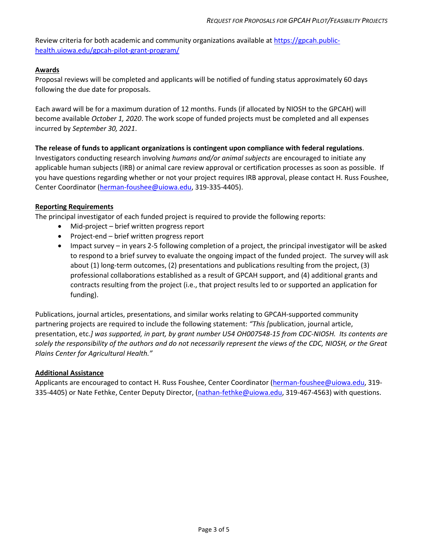Review criteria for both academic and community organizations available at [https://gpcah.public](https://gpcah.public-health.uiowa.edu/gpcah-pilot-grant-program/)[health.uiowa.edu/gpcah-pilot-grant-program/](https://gpcah.public-health.uiowa.edu/gpcah-pilot-grant-program/)

## **Awards**

Proposal reviews will be completed and applicants will be notified of funding status approximately 60 days following the due date for proposals.

Each award will be for a maximum duration of 12 months. Funds (if allocated by NIOSH to the GPCAH) will become available *October 1, 2020*. The work scope of funded projects must be completed and all expenses incurred by *September 30, 2021*.

## **The release of funds to applicant organizations is contingent upon compliance with federal regulations**.

Investigators conducting research involving *humans and/or animal subjects* are encouraged to initiate any applicable human subjects (IRB) or animal care review approval or certification processes as soon as possible. If you have questions regarding whether or not your project requires IRB approval, please contact H. Russ Foushee, Center Coordinator [\(herman-foushee@uiowa.edu,](mailto:herman-foushee@uiowa.edu) 319-335-4405).

## **Reporting Requirements**

The principal investigator of each funded project is required to provide the following reports:

- Mid-project brief written progress report
- Project-end brief written progress report
- Impact survey in years 2-5 following completion of a project, the principal investigator will be asked to respond to a brief survey to evaluate the ongoing impact of the funded project. The survey will ask about (1) long-term outcomes, (2) presentations and publications resulting from the project, (3) professional collaborations established as a result of GPCAH support, and (4) additional grants and contracts resulting from the project (i.e., that project results led to or supported an application for funding).

Publications, journal articles, presentations, and similar works relating to GPCAH-supported community partnering projects are required to include the following statement: *"This [*publication, journal article, presentation, etc.*] was supported, in part, by grant number U54 OH007548-15 from CDC-NIOSH. Its contents are solely the responsibility of the authors and do not necessarily represent the views of the CDC, NIOSH, or the Great Plains Center for Agricultural Health."*

## **Additional Assistance**

Applicants are encouraged to contact H. Russ Foushee, Center Coordinator [\(herman-foushee@uiowa.edu,](mailto:herman-foushee@uiowa.edu) 319- 335-4405) or Nate Fethke, Center Deputy Director, [\(nathan-fethke@uiowa.edu,](mailto:fred-gerr@uiowa.edu) 319-467-4563) with questions.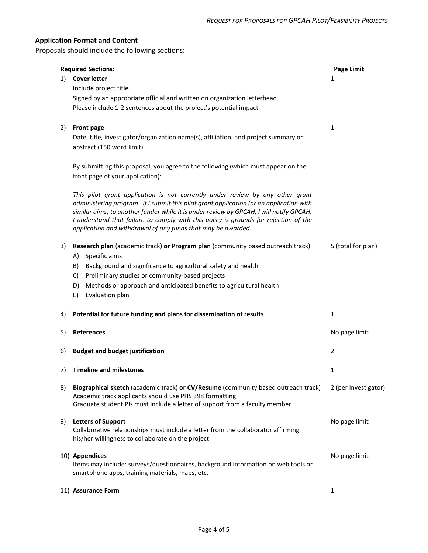# **Application Format and Content**

Proposals should include the following sections:

|    | <b>Required Sections:</b>                                                                                                                                                                                                                                                                                                                                                                                                   | <b>Page Limit</b>    |
|----|-----------------------------------------------------------------------------------------------------------------------------------------------------------------------------------------------------------------------------------------------------------------------------------------------------------------------------------------------------------------------------------------------------------------------------|----------------------|
| 1) | <b>Cover letter</b>                                                                                                                                                                                                                                                                                                                                                                                                         | 1                    |
|    | Include project title                                                                                                                                                                                                                                                                                                                                                                                                       |                      |
|    | Signed by an appropriate official and written on organization letterhead                                                                                                                                                                                                                                                                                                                                                    |                      |
|    | Please include 1-2 sentences about the project's potential impact                                                                                                                                                                                                                                                                                                                                                           |                      |
| 2) | Front page                                                                                                                                                                                                                                                                                                                                                                                                                  | $\mathbf{1}$         |
|    | Date, title, investigator/organization name(s), affiliation, and project summary or                                                                                                                                                                                                                                                                                                                                         |                      |
|    | abstract (150 word limit)                                                                                                                                                                                                                                                                                                                                                                                                   |                      |
|    | By submitting this proposal, you agree to the following (which must appear on the                                                                                                                                                                                                                                                                                                                                           |                      |
|    | front page of your application):                                                                                                                                                                                                                                                                                                                                                                                            |                      |
|    | This pilot grant application is not currently under review by any other grant<br>administering program. If I submit this pilot grant application (or an application with<br>similar aims) to another funder while it is under review by GPCAH, I will notify GPCAH.<br>I understand that failure to comply with this policy is grounds for rejection of the<br>application and withdrawal of any funds that may be awarded. |                      |
| 3) | Research plan (academic track) or Program plan (community based outreach track)                                                                                                                                                                                                                                                                                                                                             | 5 (total for plan)   |
|    | Specific aims<br>A)                                                                                                                                                                                                                                                                                                                                                                                                         |                      |
|    | Background and significance to agricultural safety and health<br>B)                                                                                                                                                                                                                                                                                                                                                         |                      |
|    | Preliminary studies or community-based projects<br>C)                                                                                                                                                                                                                                                                                                                                                                       |                      |
|    | Methods or approach and anticipated benefits to agricultural health<br>D)                                                                                                                                                                                                                                                                                                                                                   |                      |
|    | Evaluation plan<br>E)                                                                                                                                                                                                                                                                                                                                                                                                       |                      |
| 4) | Potential for future funding and plans for dissemination of results                                                                                                                                                                                                                                                                                                                                                         | $\mathbf{1}$         |
| 5) | References                                                                                                                                                                                                                                                                                                                                                                                                                  | No page limit        |
| 6) | <b>Budget and budget justification</b>                                                                                                                                                                                                                                                                                                                                                                                      | 2                    |
|    |                                                                                                                                                                                                                                                                                                                                                                                                                             |                      |
| 7) | <b>Timeline and milestones</b>                                                                                                                                                                                                                                                                                                                                                                                              | $\mathbf{1}$         |
| 8) | Biographical sketch (academic track) or CV/Resume (community based outreach track)<br>Academic track applicants should use PHS 398 formatting<br>Graduate student PIs must include a letter of support from a faculty member                                                                                                                                                                                                | 2 (per Investigator) |
| 9) | <b>Letters of Support</b>                                                                                                                                                                                                                                                                                                                                                                                                   | No page limit        |
|    | Collaborative relationships must include a letter from the collaborator affirming<br>his/her willingness to collaborate on the project                                                                                                                                                                                                                                                                                      |                      |
|    | 10) Appendices                                                                                                                                                                                                                                                                                                                                                                                                              | No page limit        |
|    | Items may include: surveys/questionnaires, background information on web tools or<br>smartphone apps, training materials, maps, etc.                                                                                                                                                                                                                                                                                        |                      |
|    | 11) Assurance Form                                                                                                                                                                                                                                                                                                                                                                                                          | 1                    |